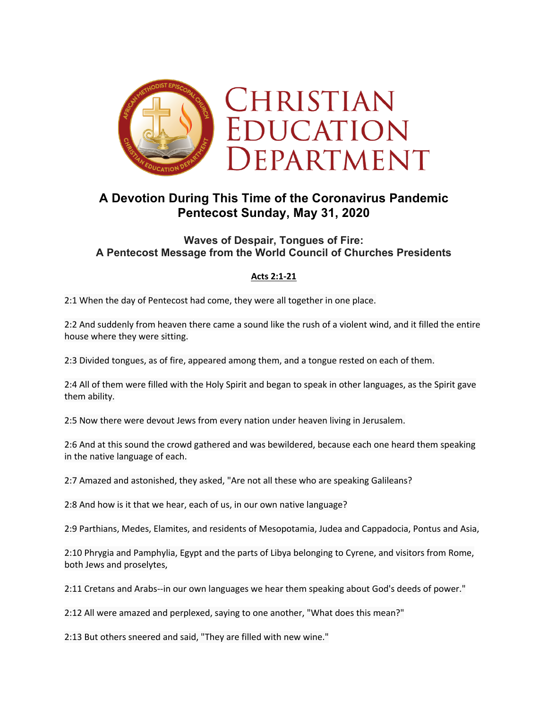

## **A Devotion During This Time of the Coronavirus Pandemic Pentecost Sunday, May 31, 2020**

**Waves of Despair, Tongues of Fire: A Pentecost Message from the World Council of Churches Presidents**

## **Acts 2:1-21**

2:1 When the day of Pentecost had come, they were all together in one place.

2:2 And suddenly from heaven there came a sound like the rush of a violent wind, and it filled the entire house where they were sitting.

2:3 Divided tongues, as of fire, appeared among them, and a tongue rested on each of them.

2:4 All of them were filled with the Holy Spirit and began to speak in other languages, as the Spirit gave them ability.

2:5 Now there were devout Jews from every nation under heaven living in Jerusalem.

2:6 And at this sound the crowd gathered and was bewildered, because each one heard them speaking in the native language of each.

2:7 Amazed and astonished, they asked, "Are not all these who are speaking Galileans?

2:8 And how is it that we hear, each of us, in our own native language?

2:9 Parthians, Medes, Elamites, and residents of Mesopotamia, Judea and Cappadocia, Pontus and Asia,

2:10 Phrygia and Pamphylia, Egypt and the parts of Libya belonging to Cyrene, and visitors from Rome, both Jews and proselytes,

2:11 Cretans and Arabs--in our own languages we hear them speaking about God's deeds of power."

2:12 All were amazed and perplexed, saying to one another, "What does this mean?"

2:13 But others sneered and said, "They are filled with new wine."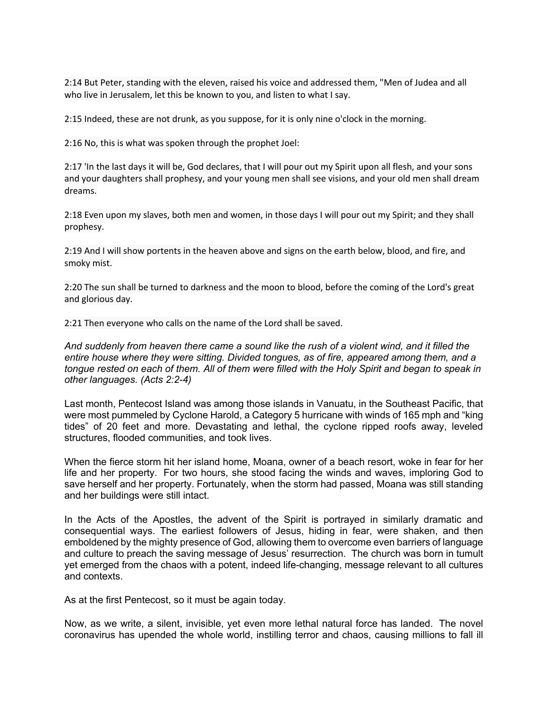2:14 But Peter, standing with the eleven, raised his voice and addressed them, "Men of Judea and all who live in Jerusalem, let this be known to you, and listen to what I say.

2:15 Indeed, these are not drunk, as you suppose, for it is only nine o'clock in the morning.

2:16 No, this is what was spoken through the prophet Joel:

2:17 'In the last days it will be, God declares, that I will pour out my Spirit upon all flesh, and your sons and your daughters shall prophesy, and your young men shall see visions, and your old men shall dream dreams.

2:18 Even upon my slaves, both men and women, in those days I will pour out my Spirit; and they shall prophesy.

2:19 And I will show portents in the heaven above and signs on the earth below, blood, and fire, and smoky mist.

2:20 The sun shall be turned to darkness and the moon to blood, before the coming of the Lord's great and glorious day.

2:21 Then everyone who calls on the name of the Lord shall be saved.

*And suddenly from heaven there came a sound like the rush of a violent wind, and it filled the entire house where they were sitting. Divided tongues, as of fire, appeared among them, and a tongue rested on each of them. All of them were filled with the Holy Spirit and began to speak in other languages. (Acts 2:2-4)*

Last month, Pentecost Island was among those islands in Vanuatu, in the Southeast Pacific, that were most pummeled by Cyclone Harold, a Category 5 hurricane with winds of 165 mph and "king tides" of 20 feet and more. Devastating and lethal, the cyclone ripped roofs away, leveled structures, flooded communities, and took lives.

When the fierce storm hit her island home, Moana, owner of a beach resort, woke in fear for her life and her property. For two hours, she stood facing the winds and waves, imploring God to save herself and her property. Fortunately, when the storm had passed, Moana was still standing and her buildings were still intact.

In the Acts of the Apostles, the advent of the Spirit is portrayed in similarly dramatic and consequential ways. The earliest followers of Jesus, hiding in fear, were shaken, and then emboldened by the mighty presence of God, allowing them to overcome even barriers of language and culture to preach the saving message of Jesus' resurrection. The church was born in tumult yet emerged from the chaos with a potent, indeed life-changing, message relevant to all cultures and contexts.

As at the first Pentecost, so it must be again today.

Now, as we write, a silent, invisible, yet even more lethal natural force has landed. The novel coronavirus has upended the whole world, instilling terror and chaos, causing millions to fall ill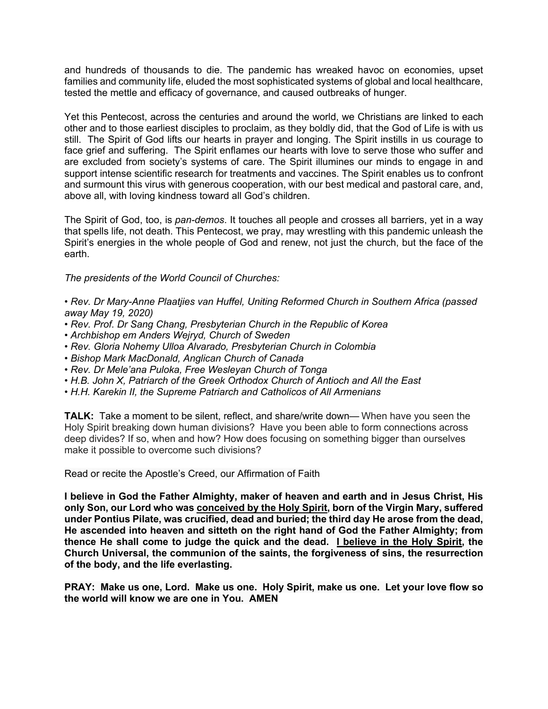and hundreds of thousands to die. The pandemic has wreaked havoc on economies, upset families and community life, eluded the most sophisticated systems of global and local healthcare, tested the mettle and efficacy of governance, and caused outbreaks of hunger.

Yet this Pentecost, across the centuries and around the world, we Christians are linked to each other and to those earliest disciples to proclaim, as they boldly did, that the God of Life is with us still. The Spirit of God lifts our hearts in prayer and longing. The Spirit instills in us courage to face grief and suffering. The Spirit enflames our hearts with love to serve those who suffer and are excluded from society's systems of care. The Spirit illumines our minds to engage in and support intense scientific research for treatments and vaccines. The Spirit enables us to confront and surmount this virus with generous cooperation, with our best medical and pastoral care, and, above all, with loving kindness toward all God's children.

The Spirit of God, too, is *pan-demos*. It touches all people and crosses all barriers, yet in a way that spells life, not death. This Pentecost, we pray, may wrestling with this pandemic unleash the Spirit's energies in the whole people of God and renew, not just the church, but the face of the earth.

*The presidents of the World Council of Churches:*

*• Rev. Dr Mary-Anne Plaatjies van Huffel, Uniting Reformed Church in Southern Africa (passed away May 19, 2020)*

- *Rev. Prof. Dr Sang Chang, Presbyterian Church in the Republic of Korea*
- *Archbishop em Anders Wejryd, Church of Sweden*
- *Rev. Gloria Nohemy Ulloa Alvarado, Presbyterian Church in Colombia*
- *Bishop Mark MacDonald, Anglican Church of Canada*
- *Rev. Dr Mele'ana Puloka, Free Wesleyan Church of Tonga*
- *H.B. John X, Patriarch of the Greek Orthodox Church of Antioch and All the East*
- *H.H. Karekin II, the Supreme Patriarch and Catholicos of All Armenians*

**TALK:** Take a moment to be silent, reflect, and share/write down— When have you seen the Holy Spirit breaking down human divisions? Have you been able to form connections across deep divides? If so, when and how? How does focusing on something bigger than ourselves make it possible to overcome such divisions?

Read or recite the Apostle's Creed, our Affirmation of Faith

**I believe in God the Father Almighty, maker of heaven and earth and in Jesus Christ, His only Son, our Lord who was conceived by the Holy Spirit, born of the Virgin Mary, suffered under Pontius Pilate, was crucified, dead and buried; the third day He arose from the dead, He ascended into heaven and sitteth on the right hand of God the Father Almighty; from thence He shall come to judge the quick and the dead. I believe in the Holy Spirit, the Church Universal, the communion of the saints, the forgiveness of sins, the resurrection of the body, and the life everlasting.**

**PRAY: Make us one, Lord. Make us one. Holy Spirit, make us one. Let your love flow so the world will know we are one in You. AMEN**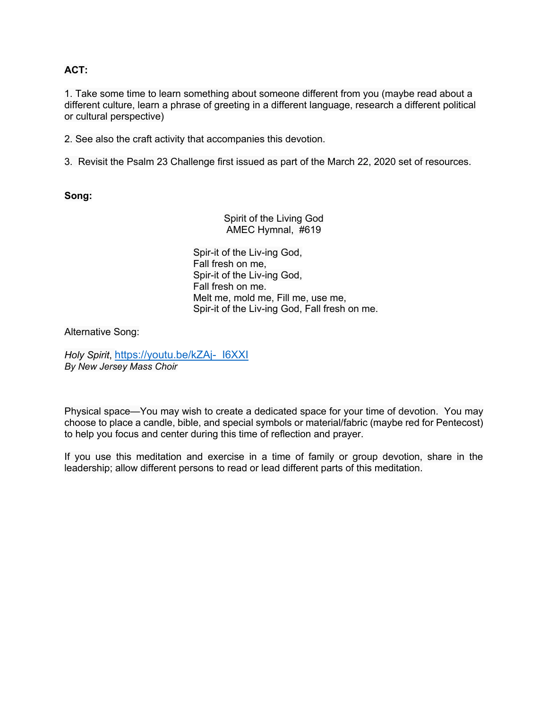## **ACT:**

1. Take some time to learn something about someone different from you (maybe read about a different culture, learn a phrase of greeting in a different language, research a different political or cultural perspective)

2. See also the craft activity that accompanies this devotion.

3. Revisit the Psalm 23 Challenge first issued as part of the March 22, 2020 set of resources.

**Song:**

Spirit of the Living God AMEC Hymnal, #619

Spir-it of the Liv-ing God, Fall fresh on me, Spir-it of the Liv-ing God, Fall fresh on me. Melt me, mold me, Fill me, use me, Spir-it of the Liv-ing God, Fall fresh on me.

Alternative Song:

*Holy Spirit*, https://youtu.be/kZAj-\_I6XXI *By New Jersey Mass Choir*

Physical space—You may wish to create a dedicated space for your time of devotion. You may choose to place a candle, bible, and special symbols or material/fabric (maybe red for Pentecost) to help you focus and center during this time of reflection and prayer.

If you use this meditation and exercise in a time of family or group devotion, share in the leadership; allow different persons to read or lead different parts of this meditation.